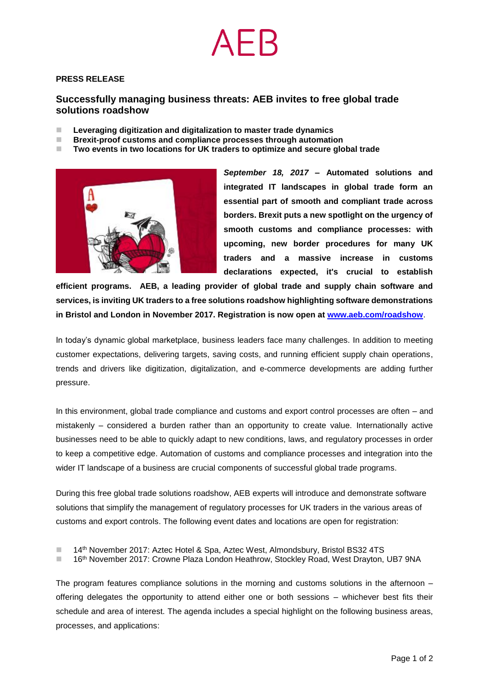## **PRESS RELEASE**

# **Successfully managing business threats: AEB invites to free global trade solutions roadshow**

- ◼ **Leveraging digitization and digitalization to master trade dynamics**
- ◼ **Brexit-proof customs and compliance processes through automation**
- ◼ **Two events in two locations for UK traders to optimize and secure global trade**



*September 18, 2017* **– Automated solutions and integrated IT landscapes in global trade form an essential part of smooth and compliant trade across borders. Brexit puts a new spotlight on the urgency of smooth customs and compliance processes: with upcoming, new border procedures for many UK traders and a massive increase in customs declarations expected, it's crucial to establish** 

**efficient programs. AEB, a leading provider of global trade and supply chain software and services, is inviting UK traders to a free solutions roadshow highlighting software demonstrations in Bristol and London in November 2017. Registration is now open at [www.aeb.com/roadshow](http://www.aeb.com/roadshow)**.

In today's dynamic global marketplace, business leaders face many challenges. In addition to meeting customer expectations, delivering targets, saving costs, and running efficient supply chain operations, trends and drivers like digitization, digitalization, and e-commerce developments are adding further pressure.

In this environment, global trade compliance and customs and export control processes are often – and mistakenly – considered a burden rather than an opportunity to create value. Internationally active businesses need to be able to quickly adapt to new conditions, laws, and regulatory processes in order to keep a competitive edge. Automation of customs and compliance processes and integration into the wider IT landscape of a business are crucial components of successful global trade programs.

During this free global trade solutions roadshow, AEB experts will introduce and demonstrate software solutions that simplify the management of regulatory processes for UK traders in the various areas of customs and export controls. The following event dates and locations are open for registration:

- 14<sup>th</sup> November 2017: Aztec Hotel & Spa, Aztec West, Almondsbury, Bristol BS32 4TS
- 16th November 2017: Crowne Plaza London Heathrow, Stockley Road, West Drayton, UB7 9NA

The program features compliance solutions in the morning and customs solutions in the afternoon – offering delegates the opportunity to attend either one or both sessions – whichever best fits their schedule and area of interest. The agenda includes a special highlight on the following business areas, processes, and applications: